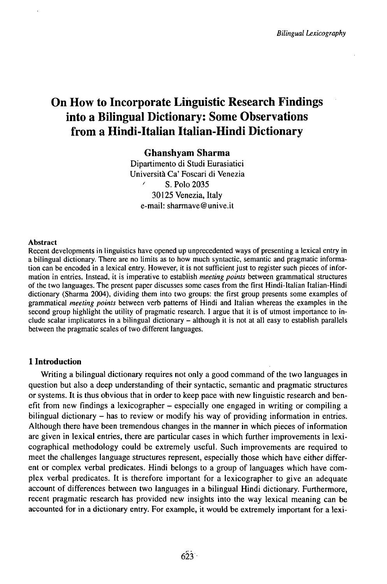# On How to Incorporate Linguistic Research Findings into a Bilingual Dictionary: Some Observations from a Hindi-Italian Italian-Hindi Dictionary

## Ghanshyam Sharma

Dipartimento di Studi Eurasiatici Università Ca' Foscari di Venezia S. Polo 2035 30125 Venezia, Italy e-mail: sharmave@unive.it

## Abstract

Recent developments in linguistics have opened up unprecedented ways of presenting a lexical entry in a bilingual dictionary. There are no limits as to how much syntactic, semantic and pragmatic information can be encoded in a lexical entry. However, it is not sufficient just to register such pieces of information in entries. Instead, it is imperative to establish *meeting points* between grammatical structures of the two languages. The present paper discusses some cases from the first Hindi-Italian Italian-Hindi dictionary (Sharma 2004), dividing them into two groups: the first group presents some examples of grammatical *meeting points* between verb patterns of Hindi and Italian whereas the examples in the second group highlight the utility of pragmatic research. I argue that it is of utmost importance to include scalar implicatures in <sup>a</sup> bilingual dictionary - although it is not at all easy to establish parallels between the pragmatic scales of two different languages.

## **1 Introduction**

Writing a bilingual dictionary requires not only a good command of the two languages in question but also a deep understanding of their syntactic, semantic and pragmatic structures or systems. It is thus obvious that in order to keep pace with new linguistic research and benefit from new findings a lexicographer – especially one engaged in writing or compiling a bilingual dictionary – has to review or modify his way of providing information in entries. Although there have been tremendous changes in the manner in which pieces of information are given in lexical entries, there are particular cases in which further improvements in lexicographical methodology could be extremely useful. Such improvements are required to meet the challenges language structures represent, especially those which have either different or complex verbal predicates. Hindi belongs to a group of languages which have complex verbal predicates. It is therefore important for a lexicographer to give an adequate account of differences between two languages in a bilingual Hindi dictionary. Furthermore, recent pragmatic research has provided new insights into the way lexical meaning can be accounted for in a dictionary entry. For example, it would be extremely important for a lexi-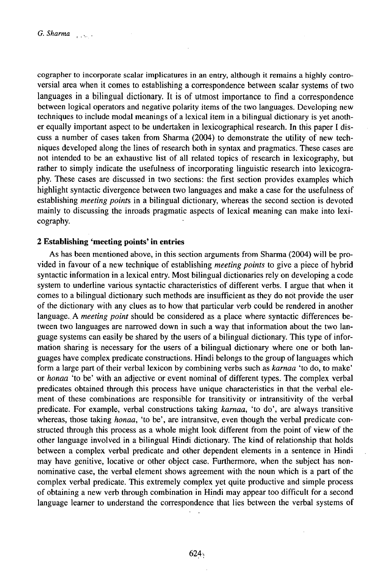cographer to incorporate scalar implicatures in an entry, although it remains a highly controversial area when it comes to establishing a correspondence between scalar systems of two languages in a bilingual dictionary. It is of utmost importance to find a correspondence between logical operators and negative polarity items of the two languages. Developing new techniques to include modal meanings of a lexical item in a bilingual dictionary is yet another equally important aspect to be undertaken in lexicographical research. In this paper I discuss a number of cases taken from Sharma (2004) to demonstrate the utility of new techniques developed along the lines of research both in syntax and pragmatics. These cases are not intended to be an exhaustive list of all related topics of research in lexicography, but rather to simply indicate the usefulness of incorporating linguistic research into lexicography. These cases are discussed in two sections: the first section provides examples which highlight syntactic divergence between two languages and make a case for the usefulness of establishing *meeting points* in a bilingual dictionary, whereas the second section is devoted mainly to discussing the inroads pragmatic aspects of lexical meaning can make into lexicography.

## **2 Establishing 'meeting points' in entries**

As has been mentioned above, in this section arguments from Sharma (2004) will be provided in favour of a new technique of establishing *meeting points* to give a piece of hybrid syntactic information in a lexical entry. Most bilingual dictionaries rely on developing a code system to underline various syntactic characteristics of different verbs. I argue that when it comes to a bilingual dictionary such methods are insufficient as they do not provide the user of the dictionary with any clues as to how that particular verb could be rendered in another language..A *meeting point* should be considered as a place where syntactic differences between two languages are narrowed down in such a way that information about the two language systems can easily be shared by the users of a bilingual dictionary. This type of information sharing is necessary for the users of a bilingual dictionary where one or both languages have complex predicate constructions. Hindi belongs to the group oflanguages which form a large part of their verbal lexicon by combining verbs such as *karnaa* 'to do, to make' *orhonaa* 'to be' with an adjective or event nominal of different types. The complex verbal predicates obtained through this process have unique characteristics in that the verbal element of these combinations are responsible for transitivity or intransitivity of the verbal predicate. For example, verbal constructions taking *karnaa,* 'to do', are always transitive whereas, those taking *honaa,* 'to be', are intransitve, even though the verbal predicate constructed through this process as a whole might look different from the point of view of the other language involved in a bilingual Hindi dictionary. The kind of relationship that holds between a complex verbal predicate and other dependent elements in a sentence in Hindi may have genitive, locative or other object case. Furthermore, when the subject has nonnominative case, the verbal element shows agreement with the noun which is a part of the complex verbal predicate. This extremely complex yet quite productive and simple process of obtaining a new verb through combination in Hindi may appear too difficult for a second language learner to understand the correspondence that lies between the verbal systems of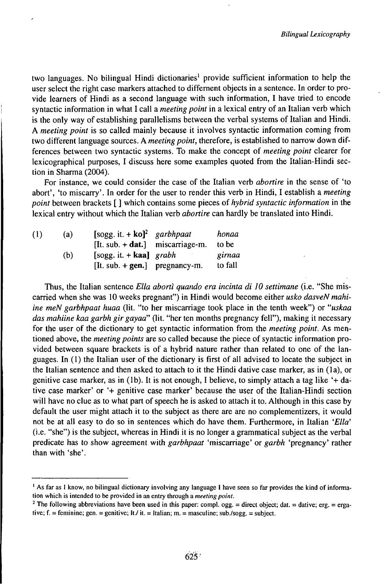two languages. No bilingual Hindi dictionaries' provide sufficient information to help the user select the right case markers attached to differnent objects in a sentence. In order to provide learners of Hindi as a second language with such information, I have tried to encode syntactic information in what I call a *meeting point* in a lexical entry of an Italian verb which is the only way of establishing parallelisms between the verbal systems of Italian and Hindi. A *meeting point* is so called mainly because it involves syntactic information coming from two different language sources. A *meeting point,* therefore, is established to narrow down differences between two syntactic systems. To make the concept of *meeting point* clearer for lexicographical purposes, I discuss here some examples quoted from the Italian-Hindi section in Sharma (2004).

For instance, we could consider the case of the Italian verb *abortire* in the sense of 'to abort', 'to miscarry'. In order for the user to render this verb in Hindi, I establish a *meeting point* between brackets [ **]** which contains some pieces of *hybrid syntactic information* in the lexical entry without which the Italian verb *abortire* can hardly be translated into Hindi.

| (1) | (a) | [sogg. it. $+$ ko] <sup>2</sup> garbhpaat | honaa   |
|-----|-----|-------------------------------------------|---------|
|     |     | $[It. sub. + dat.]$ miscarriage-m.        | to be   |
|     | (b) | $[sogg. it. + kaal gradh]$                | girnaa  |
|     |     | $[It. sub. + gen.]$ pregnancy-m.          | to fall |

Thus, the Italian sentence *Ella abortì quando era incinta di 10 settimane* (i.e. "She miscarried when she was 10 weeks pregnant") in Hindi would become either *usko dasveNmahiine meN garbhpaat huaa* (lit. "to her miscarriage took place in the tenth week") or *"uskaa das mahiine kaa garbh gir gayaa"* (lit. "her ten months pregnancy fell"), making it necessary for the user of the dictionary to get syntactic information from the *meeting point.* As mentioned above, the *meeting points* are so called because the piece of syntactic information provided between square brackets is of a hybrid nature rather than related to one of the languages. In (1) the Italian user of the dictionary is first of all advised to locate the subject in the Italian sentence and then asked to attach to it the Hindi dative case marker, as in (la), or genitive case marker, as in (lb). It is not enough, I believe, to simply attach a tag like '+ dative case marker' or '+ genitive case marker' because the user of the Italian-Hindi section will have no clue as to what part of speech he is asked to attach it to. Although in this case by default the user might attach it to the subject as there are are no complementizers, it would not be at all easy to do so in sentences which do have them. Furthermore, in Italian *'Ella'* (i.e. "she") is the subject, whereas in Hindi it is no longer a grammatical subject as the verbal predicate has to show agreement with *garbhpaat* 'miscarriage' or *garbh* 'pregnancy' rather than with 'she'.

<sup>&</sup>lt;sup>1</sup> As far as I know, no bilingual dictionary involving any language I have seen so far provides the kind of information which is intended to be provided in an entry through a *meeting point.*

<sup>&</sup>lt;sup>2</sup> The following abbreviations have been used in this paper: compl. ogg. = direct object; dat. = dative; erg. = ergative;  $f =$  feminine; gen. = genitive; It./ it. = Italian; m. = masculine; sub./sogg. = subject.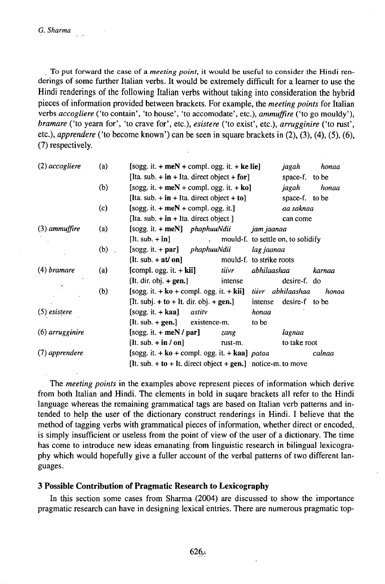. To put forward the case of a *meeting point,* it would be useful to consider the Hindi renderings of some further Italian verbs. It would be extremely difficult for a learner to use the Hindi renderings of the following Italian verbs without taking into consideration the hybrid pieces of information provided between brackets. For example, the *meeting points* for Italian verbs *accogliere* ('to contain', 'to house', 'to accomodate', etc.), *ammuffire* ('to go mouldy'), *bramare* ('to yearn for', 'to crave for', etc.), *esistere* ('to exist', etc.), *arrugginire* ('to rust', etc.), *apprendere* ('to become known') can be seen in square brackets in (2), (3), (4), (5), (6), (7) respectively.

| (2) accogliere  | (a)     | $[sogg. it. + meN + compl. ogg. it. + ke lie]$                      |              |              | jagah                    | honaa                              |        |  |
|-----------------|---------|---------------------------------------------------------------------|--------------|--------------|--------------------------|------------------------------------|--------|--|
|                 |         | [Ita. sub. $+$ in $+$ Ita. direct object $+$ for]                   |              |              | space-f. to be           |                                    |        |  |
|                 | (b)     | $[sogg. it. + meN + compl. ogg. it. + ko]$                          |              |              | jagah                    | honaa                              |        |  |
|                 |         | [Ita. sub. $+$ in $+$ Ita. direct object $+$ to]                    |              |              |                          | space-f. to be                     |        |  |
|                 | (c)     | [sogg. it. $+$ meN $+$ compl. ogg. it.]                             |              |              |                          | aa saknaa                          |        |  |
|                 |         | [Ita. sub. $+$ in $+$ Ita. direct object ]                          |              |              | can come                 |                                    |        |  |
| $(3)$ ammuffire | (a)     | $[sogg. it. + meN]$ phaphuuNdii                                     |              |              | jam jaanaa               |                                    |        |  |
|                 |         | $[It. sub. + in]$                                                   | $\mathbf{r}$ |              |                          | mould-f. to settle on, to solidify |        |  |
|                 | $(b)$ . | $[sogg. it. + par]$ phaphuuNdii                                     |              |              | lag jaanaa               |                                    |        |  |
|                 |         | $[It. sub. + at/\text{on}]$                                         |              |              | mould-f. to strike roots |                                    |        |  |
| (4) bramare     | (a)     | [compl. ogg. it. $+$ kii]                                           |              | <i>tiivr</i> | abhilaashaa              |                                    | karnaa |  |
|                 |         | [It. dir. obj. $+$ gen.]                                            |              | intense      |                          | desire-f. do                       |        |  |
|                 | (b)     | $[sogg. it. + ko + compl. ogg. it. + kii]$ <i>tiivr abhilaashaa</i> |              |              |                          |                                    | honaa  |  |
|                 |         | [It. subj. $+$ to $+$ It. dir. obj. $+$ gen.]                       |              |              | intense                  | desire-f to be                     |        |  |
| $(5)$ esistere  |         | $[soge. it. + kaa]$                                                 | astity       |              | honaa                    |                                    |        |  |
|                 |         | $[It. sub. + gen.]$ existence-m.                                    |              |              | to be                    |                                    |        |  |
| (6) arrugginire |         | $[sogg. it. + meN/par]$                                             |              | zang         |                          | lagnaa                             |        |  |
|                 |         | [It. sub. $+$ in / on]                                              |              | rust-m.      |                          | to take root                       |        |  |
| (7) apprendere  |         | [sogg. it. $+$ ko $+$ compl. ogg. it. $+$ kaa] pataa                |              |              |                          | calnaa                             |        |  |
|                 |         | [It. sub. $+$ to $+$ It. direct object $+$ gen.] notice-m. to move  |              |              |                          |                                    |        |  |

The *meeting points* in the examples above represent pieces of information which derive from both Italian and Hindi. The elements in bold in suqare brackets all refer to the Hindi language whereas the remaining grammatical tags are based on Italian verb patterns and intended to help the user of the dictionary construct renderings in Hindi. I believe that the method of tagging verbs with grammatical pieces of information, whether direct or encoded,. is simply insufficient or useless from the point of view of the user of a dictionary. The time has come to introduce new ideas emanating from linguistic research in bilingual lexicography which would hopefully give a fuller account of the verbal patterns of two different languages.

## **3 Possible Contribution of Pragmatic Research to Lexicography**

In this section some cases from Sharma (2004) are discussed to show the importance pragmatic research can have in designing lexical entries. There are numerous pragmatic top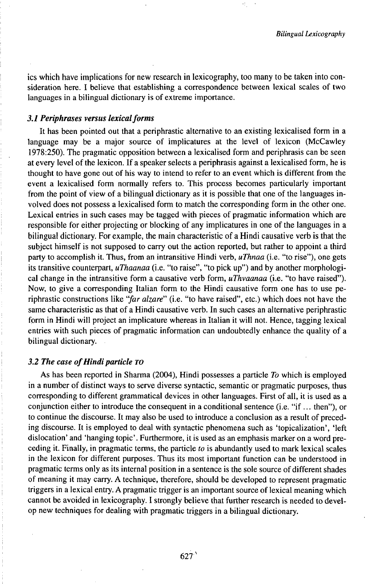ics which have implications for new research in lexicography, too many to be taken into consideration here. I believe that establishing a correspondence between lexical scales of two languages in a bilingual dictionary is of extreme importance.

## *3.1 Periphrases versus lexicalforms*

It has been pointed out that a periphrastic alternative to an existing lexicalised form in a language may be a major source of implicatures at the level of lexicon (McCawley 1978:250). The pragmatic opposition between a lexicalised form and periphrasis can be seen at every level of the lexicon. If a speaker selects a periphrasis against a lexicalised form, he is thought to have gone out of his way to intend to refer to an event which is different from the event a lexicalised form normally refers to. This process becomes particularly important from the point of view of a bilingual dictionary as it is possible that one of the languages involved does not possess a lexicalised form to match the corresponding form in the other one. Lexical entries in such cases may be tagged with pieces of pragmatic information which are responsible for either projecting or blocking of any implicatures in one of the languages in a bilingual dictionary. For example, the main characteristic of a Hindi causative verb is that the subject himself is not supposed to carry out the action reported, but rather to appoint a third party to accomplish it. Thus, from an intransitive Hindi verb, *uThnaa* (i.e. "to rise"), one gets its transitive counterpart, *uThaanaa* (i.e. "to raise", "to pick up") and by another morphological change in the intransitive form a causative verb form, *uThvaanaa* (i.e. "to have raised"). Now, to give a corresponding Italian form to the Hindi causative form one has to use periphrastic constructions like *"far alzare"* (i.e. "to have raised", etc.) which does not have the same characteristic as that of a Hindi causative verb. In such cases an alternative periphrastic form in Hindi will project an implicature whereas in Italian it will not. Hence, tagging lexical entries with such pieces of pragmatic information can undoubtedly enhance the quality of a bilingual dictionary.

#### *3.2 The case of Hindi particle TO*

As has been reported in Sharma (2004), Hindi possesses a particle *To* which is employed in a number of distinct ways to serve diverse syntactic, semantic or pragmatic purposes, thus corresponding to different grammatical devices in other languages. First of all, it is used as a conjunction either to introduce the consequent in a conditional sentence (i.e. "if ... then"), or to continue the discourse. It may also be used to introduce a conclusion as a result of preceding discourse. It is employed to deal with syntactic phenomena such as 'topicalization', 'left dislocation' and 'hanging topic'. Furthermore, it is used as an emphasis marker on a word preceding it. Finally, in pragmatic terms, the particle *to* is abundantly used to mark lexical scales in the lexicon for different purposes. Thus its most important function can be understood in pragmatic terms only as its internal position in a sentence is the sole source of different shades of meaning it may carry. A technique, therefore, should be developed to represent pragmatic triggers in a lexical entry. A pragmatic trigger is an important source oflexical meaning which cannot be avoided in lexicography. I strongly believe that further research is needed to develop new techniques for dealing with pragmatic triggers in a bilingual dictionary.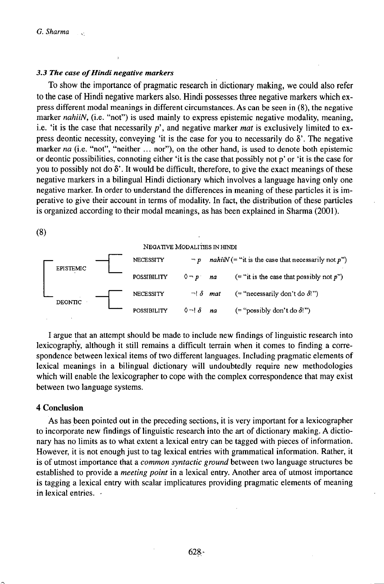## *3.3 The case ofHindi negative markers*

To show the importance of pragmatic research in dictionary making, we could also refer to the case of Hindi negative markers also. Hindi possesses three negative markers which express different modal meanings in different circumstances. As can be seen in (8), the negative marker *nahiiN*, (i.e. "not") is used mainly to express epistemic negative modality, meaning, i.e. 'it is the case that necessarily  $p'$ , and negative marker *mat* is exclusively limited to express deontic necessity, conveying 'it is the case for you to necessarily do  $\delta'$ . The negative marker *na* (i.e. "not", "neither ... nor"), on the other hand, is used to denote both epistemic or deontic possibilities, connoting either 'it is the case that possibly not p' or 'it is the case for you to possibly not do  $\delta'$ . It would be difficult, therefore, to give the exact meanings of these negative markers in a bilingual Hindi dictionary which involves a language having only one negative marker. In order to understand the differences in meaning of these particles it is imperative to give their account in terms of modality. In fact, the distribution of these particles is organized according to their modal meanings, as has been explained in Sharma (2001).



I argue that an attempt should be made to include new findings of linguistic research into lexicography, although it still remains a difficult terrain when it comes to finding a correspondence between lexical items of two different languages. Including pragmatic elements of lexical meanings in a bilingual dictionary will undoubtedly require new methodologies which will enable the lexicographer to cope with the complex correspondence that may exist between two language systems.

#### **4 Conclusion**

As has been pointed out in the preceding sections, it is very important for a lexicographer to incorporate new findings of linguistic research into the art of dictionary making. A dictionary has no limits as to what extent a lexical entry can be tagged with pieces of information. However, it is not enough just to tag lexical entries with grammatical information. Rather, it is of utmost importance that a *common syntactic ground* between two language structures be established to provide a *meeting point* in a lexical entry. Another area of utmost importance is tagging a lexical entry with scalar implicatures providing pragmatic elements of meaning in lexical entries. -